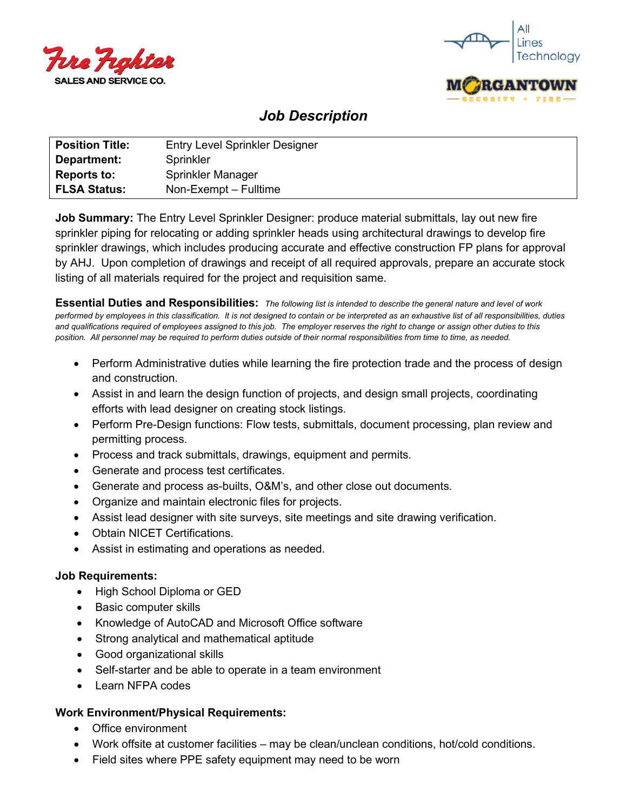



## *Job Description*

| <b>Position Title:</b> | <b>Entry Level Sprinkler Designer</b> |
|------------------------|---------------------------------------|
| Department:            | Sprinkler                             |
| <b>Reports to:</b>     | Sprinkler Manager                     |
| <b>FLSA Status:</b>    | Non-Exempt – Fulltime                 |

**Job Summary:** The Entry Level Sprinkler Designer: produce material submittals, lay out new fire sprinkler piping for relocating or adding sprinkler heads using architectural drawings to develop fire sprinkler drawings, which includes producing accurate and effective construction FP plans for approval by AHJ. Upon completion of drawings and receipt of all required approvals, prepare an accurate stock listing of all materials required for the project and requisition same.

**Essential Duties and Responsibilities:** *The following list is intended to describe the general nature and level of work performed by employees in this classification. It is not designed to contain or be interpreted as an exhaustive list of all responsibilities, duties and qualifications required of employees assigned to this job. The employer reserves the right to change or assign other duties to this position. All personnel may be required to perform duties outside of their normal responsibilities from time to time, as needed.*

- Perform Administrative duties while learning the fire protection trade and the process of design and construction.
- Assist in and learn the design function of projects, and design small projects, coordinating efforts with lead designer on creating stock listings.
- Perform Pre-Design functions: Flow tests, submittals, document processing, plan review and permitting process.
- Process and track submittals, drawings, equipment and permits.
- Generate and process test certificates.
- Generate and process as-builts, O&M's, and other close out documents.
- Organize and maintain electronic files for projects.
- Assist lead designer with site surveys, site meetings and site drawing verification.
- Obtain NICET Certifications.
- Assist in estimating and operations as needed.

## **Job Requirements:**

- High School Diploma or GED
- Basic computer skills
- Knowledge of AutoCAD and Microsoft Office software
- Strong analytical and mathematical aptitude
- Good organizational skills
- Self-starter and be able to operate in a team environment
- Learn NFPA codes

## **Work Environment/Physical Requirements:**

- Office environment
- Work offsite at customer facilities may be clean/unclean conditions, hot/cold conditions.
- Field sites where PPE safety equipment may need to be worn